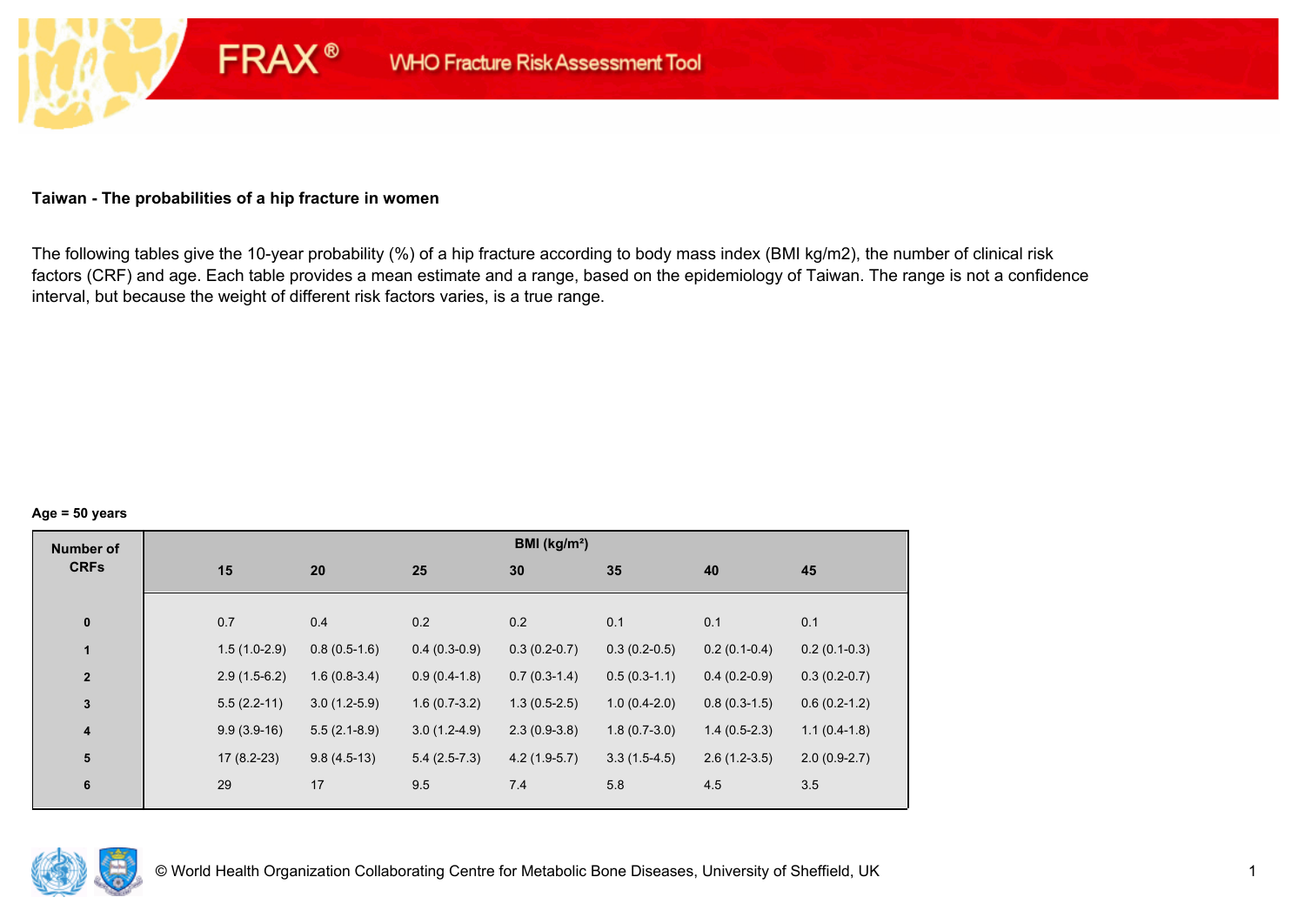## **Taiwan - The probabilities of a hip fracture in women**

**FRAX®** 

The following tables give the 10-year probability (%) of a hip fracture according to body mass index (BMI kg/m2), the number of clinical risk factors (CRF) and age. Each table provides a mean estimate and a range, based on the epidemiology of Taiwan. The range is not a confidence interval, but because the weight of different risk factors varies, is a true range.

#### **Age = 50 years**

| <b>Number of</b> |                |                |                | BMI ( $kg/m2$ ) |                |                |                |
|------------------|----------------|----------------|----------------|-----------------|----------------|----------------|----------------|
| <b>CRFs</b>      | 15             | 20             | 25             | 30              | 35             | 40             | 45             |
|                  |                |                |                |                 |                |                |                |
| $\pmb{0}$        | 0.7            | 0.4            | 0.2            | 0.2             | 0.1            | 0.1            | 0.1            |
| $\mathbf{1}$     | $1.5(1.0-2.9)$ | $0.8(0.5-1.6)$ | $0.4(0.3-0.9)$ | $0.3(0.2-0.7)$  | $0.3(0.2-0.5)$ | $0.2(0.1-0.4)$ | $0.2(0.1-0.3)$ |
| $\mathbf{2}$     | $2.9(1.5-6.2)$ | $1.6(0.8-3.4)$ | $0.9(0.4-1.8)$ | $0.7(0.3-1.4)$  | $0.5(0.3-1.1)$ | $0.4(0.2-0.9)$ | $0.3(0.2-0.7)$ |
| $\mathbf{3}$     | $5.5(2.2-11)$  | $3.0(1.2-5.9)$ | $1.6(0.7-3.2)$ | $1.3(0.5-2.5)$  | $1.0(0.4-2.0)$ | $0.8(0.3-1.5)$ | $0.6(0.2-1.2)$ |
| $\boldsymbol{4}$ | $9.9(3.9-16)$  | $5.5(2.1-8.9)$ | $3.0(1.2-4.9)$ | $2.3(0.9-3.8)$  | $1.8(0.7-3.0)$ | $1.4(0.5-2.3)$ | $1.1(0.4-1.8)$ |
| 5                | $17(8.2-23)$   | $9.8(4.5-13)$  | $5.4(2.5-7.3)$ | $4.2(1.9-5.7)$  | $3.3(1.5-4.5)$ | $2.6(1.2-3.5)$ | $2.0(0.9-2.7)$ |
| $\bf 6$          | 29             | 17             | 9.5            | 7.4             | 5.8            | 4.5            | 3.5            |
|                  |                |                |                |                 |                |                |                |

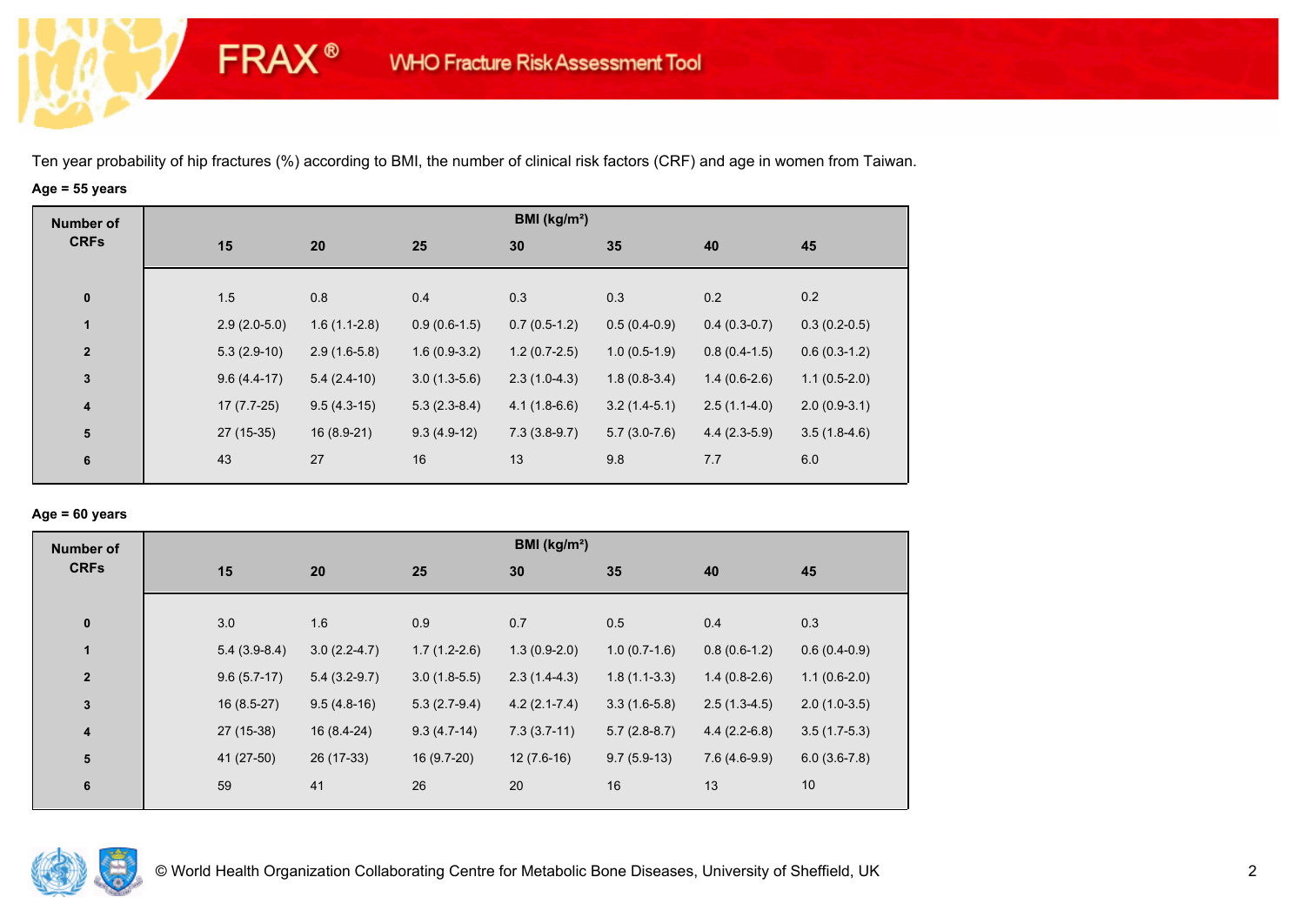**FRAX®** 

# **Age = 55 years**

| <b>Number of</b> |                |                |                | BMI ( $kg/m2$ ) |                |                |                |
|------------------|----------------|----------------|----------------|-----------------|----------------|----------------|----------------|
| <b>CRFs</b>      | 15             | 20             | 25             | 30              | 35             | 40             | 45             |
|                  |                |                |                |                 |                |                |                |
| $\pmb{0}$        | 1.5            | 0.8            | 0.4            | 0.3             | 0.3            | 0.2            | 0.2            |
| $\mathbf{1}$     | $2.9(2.0-5.0)$ | $1.6(1.1-2.8)$ | $0.9(0.6-1.5)$ | $0.7(0.5-1.2)$  | $0.5(0.4-0.9)$ | $0.4(0.3-0.7)$ | $0.3(0.2-0.5)$ |
| $\overline{2}$   | $5.3(2.9-10)$  | $2.9(1.6-5.8)$ | $1.6(0.9-3.2)$ | $1.2(0.7-2.5)$  | $1.0(0.5-1.9)$ | $0.8(0.4-1.5)$ | $0.6(0.3-1.2)$ |
| $\mathbf 3$      | $9.6(4.4-17)$  | $5.4(2.4-10)$  | $3.0(1.3-5.6)$ | $2.3(1.0-4.3)$  | $1.8(0.8-3.4)$ | $1.4(0.6-2.6)$ | $1.1(0.5-2.0)$ |
| $\boldsymbol{4}$ | $17(7.7-25)$   | $9.5(4.3-15)$  | $5.3(2.3-8.4)$ | $4.1(1.8-6.6)$  | $3.2(1.4-5.1)$ | $2.5(1.1-4.0)$ | $2.0(0.9-3.1)$ |
| 5                | $27(15-35)$    | $16(8.9-21)$   | $9.3(4.9-12)$  | $7.3(3.8-9.7)$  | $5.7(3.0-7.6)$ | $4.4(2.3-5.9)$ | $3.5(1.8-4.6)$ |
| 6                | 43             | 27             | 16             | 13              | 9.8            | 7.7            | 6.0            |
|                  |                |                |                |                 |                |                |                |

## **Age = 60 years**

| <b>Number of</b>        |                |                |                | BMI (kg/m <sup>2</sup> ) |                |                |                |
|-------------------------|----------------|----------------|----------------|--------------------------|----------------|----------------|----------------|
| <b>CRFs</b>             | 15             | 20             | 25             | 30                       | 35             | 40             | 45             |
|                         |                |                |                |                          |                |                |                |
| $\pmb{0}$               | 3.0            | 1.6            | 0.9            | 0.7                      | 0.5            | 0.4            | 0.3            |
| $\mathbf{1}$            | $5.4(3.9-8.4)$ | $3.0(2.2-4.7)$ | $1.7(1.2-2.6)$ | $1.3(0.9-2.0)$           | $1.0(0.7-1.6)$ | $0.8(0.6-1.2)$ | $0.6(0.4-0.9)$ |
| $\overline{2}$          | $9.6(5.7-17)$  | $5.4(3.2-9.7)$ | $3.0(1.8-5.5)$ | $2.3(1.4-4.3)$           | $1.8(1.1-3.3)$ | $1.4(0.8-2.6)$ | $1.1(0.6-2.0)$ |
| $\mathbf{3}$            | $16(8.5-27)$   | $9.5(4.8-16)$  | $5.3(2.7-9.4)$ | $4.2(2.1 - 7.4)$         | $3.3(1.6-5.8)$ | $2.5(1.3-4.5)$ | $2.0(1.0-3.5)$ |
| $\overline{\mathbf{4}}$ | 27 (15-38)     | 16 (8.4-24)    | $9.3(4.7-14)$  | $7.3(3.7-11)$            | $5.7(2.8-8.7)$ | $4.4(2.2-6.8)$ | $3.5(1.7-5.3)$ |
| ${\bf 5}$               | 41 (27-50)     | 26 (17-33)     | 16 (9.7-20)    | $12(7.6-16)$             | $9.7(5.9-13)$  | $7.6(4.6-9.9)$ | $6.0(3.6-7.8)$ |
| 6                       | 59             | 41             | 26             | 20                       | 16             | 13             | 10             |
|                         |                |                |                |                          |                |                |                |

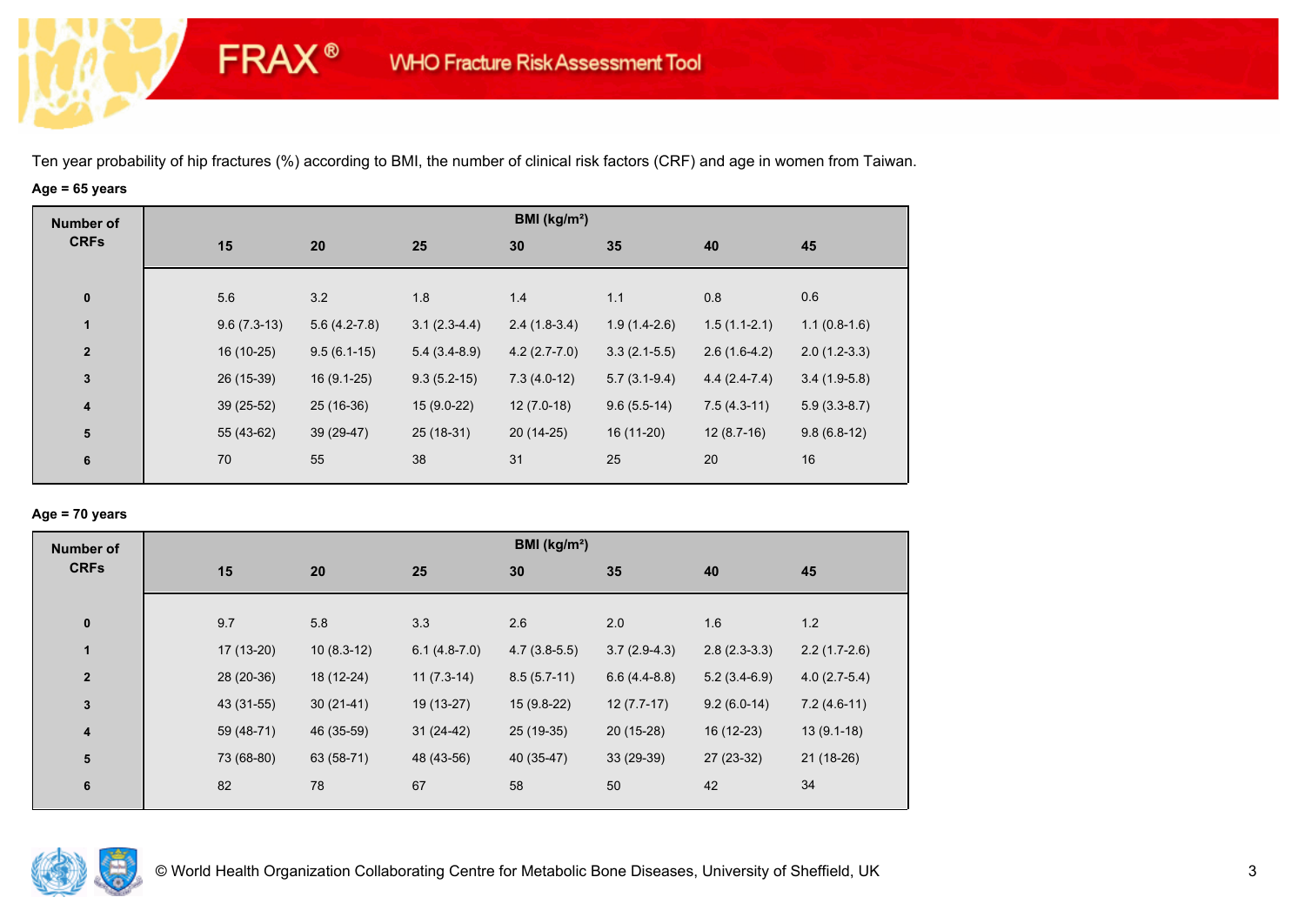**FRAX®** 

# **Age = 65 years**

| <b>Number of</b> |               |                |                | BMI ( $kg/m2$ ) |                |                |                |
|------------------|---------------|----------------|----------------|-----------------|----------------|----------------|----------------|
| <b>CRFs</b>      | 15            | 20             | 25             | 30              | 35             | 40             | 45             |
|                  |               |                |                |                 |                |                |                |
| $\pmb{0}$        | 5.6           | 3.2            | 1.8            | 1.4             | 1.1            | 0.8            | 0.6            |
| $\mathbf{1}$     | $9.6(7.3-13)$ | $5.6(4.2-7.8)$ | $3.1(2.3-4.4)$ | $2.4(1.8-3.4)$  | $1.9(1.4-2.6)$ | $1.5(1.1-2.1)$ | $1.1(0.8-1.6)$ |
| $\overline{2}$   | 16 (10-25)    | $9.5(6.1-15)$  | $5.4(3.4-8.9)$ | $4.2(2.7-7.0)$  | $3.3(2.1-5.5)$ | $2.6(1.6-4.2)$ | $2.0(1.2-3.3)$ |
| $\mathbf 3$      | 26 (15-39)    | $16(9.1-25)$   | $9.3(5.2-15)$  | $7.3(4.0-12)$   | $5.7(3.1-9.4)$ | $4.4(2.4-7.4)$ | $3.4(1.9-5.8)$ |
| $\boldsymbol{4}$ | $39(25-52)$   | $25(16-36)$    | $15(9.0-22)$   | $12(7.0-18)$    | $9.6(5.5-14)$  | $7.5(4.3-11)$  | $5.9(3.3-8.7)$ |
| 5                | 55 (43-62)    | 39 (29-47)     | 25 (18-31)     | 20 (14-25)      | 16 (11-20)     | $12(8.7-16)$   | $9.8(6.8-12)$  |
| 6                | 70            | 55             | 38             | 31              | 25             | 20             | 16             |
|                  |               |                |                |                 |                |                |                |

## **Age = 70 years**

| <b>Number of</b>        |            |              |                | BMI (kg/m <sup>2</sup> ) |                |                |                |
|-------------------------|------------|--------------|----------------|--------------------------|----------------|----------------|----------------|
| <b>CRFs</b>             | 15         | 20           | 25             | 30                       | 35             | 40             | 45             |
| $\pmb{0}$               | 9.7        | 5.8          | 3.3            | 2.6                      | 2.0            | 1.6            | 1.2            |
| 1                       | 17 (13-20) | $10(8.3-12)$ | $6.1(4.8-7.0)$ | $4.7(3.8-5.5)$           | $3.7(2.9-4.3)$ | $2.8(2.3-3.3)$ | $2.2(1.7-2.6)$ |
| $\overline{2}$          | 28 (20-36) | 18 (12-24)   | $11(7.3-14)$   | $8.5(5.7-11)$            | $6.6(4.4-8.8)$ | $5.2(3.4-6.9)$ | $4.0(2.7-5.4)$ |
| $\mathbf 3$             | 43 (31-55) | $30(21-41)$  | 19 (13-27)     | $15(9.8-22)$             | $12(7.7-17)$   | $9.2(6.0-14)$  | $7.2(4.6-11)$  |
| $\overline{\mathbf{4}}$ | 59 (48-71) | 46 (35-59)   | $31(24-42)$    | $25(19-35)$              | $20(15-28)$    | 16 (12-23)     | $13(9.1-18)$   |
| ${\bf 5}$               | 73 (68-80) | 63 (58-71)   | 48 (43-56)     | 40 (35-47)               | $33(29-39)$    | 27 (23-32)     | $21(18-26)$    |
| 6                       | 82         | 78           | 67             | 58                       | 50             | 42             | 34             |

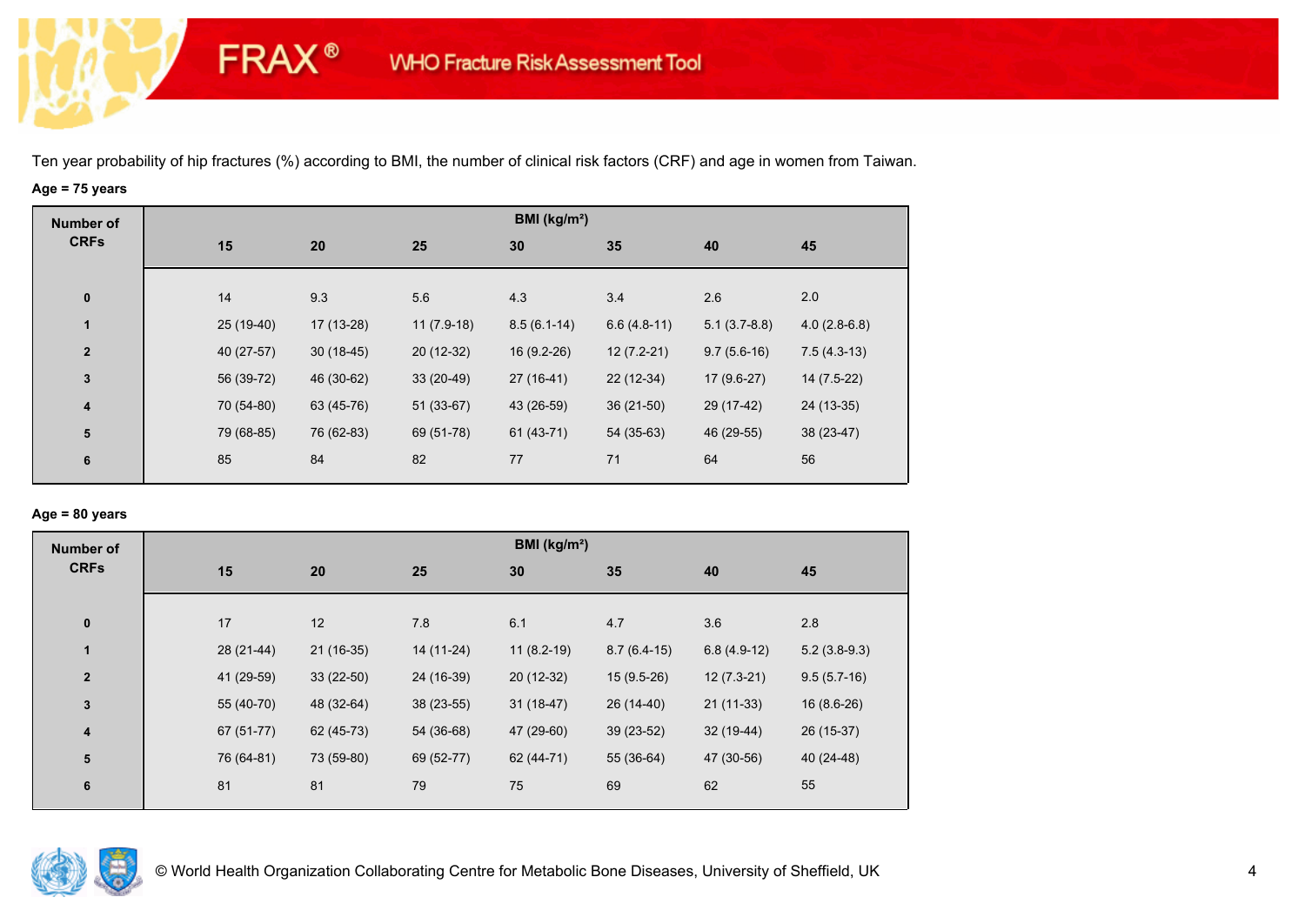**FRAX®** 

# **Age = 75 years**

| <b>Number of</b>        |             |             |              | BMI (kg/m <sup>2</sup> ) |               |                |                |
|-------------------------|-------------|-------------|--------------|--------------------------|---------------|----------------|----------------|
| <b>CRFs</b>             | 15          | 20          | 25           | 30                       | 35            | 40             | 45             |
|                         |             |             |              |                          |               |                |                |
| $\bf{0}$                | 14          | 9.3         | 5.6          | 4.3                      | 3.4           | 2.6            | 2.0            |
| 1                       | $25(19-40)$ | 17 (13-28)  | $11(7.9-18)$ | $8.5(6.1-14)$            | $6.6(4.8-11)$ | $5.1(3.7-8.8)$ | $4.0(2.8-6.8)$ |
| $\overline{\mathbf{2}}$ | 40 (27-57)  | $30(18-45)$ | $20(12-32)$  | 16 (9.2-26)              | $12(7.2-21)$  | $9.7(5.6-16)$  | $7.5(4.3-13)$  |
| $\mathbf{3}$            | 56 (39-72)  | 46 (30-62)  | $33(20-49)$  | $27(16-41)$              | 22 (12-34)    | $17(9.6-27)$   | $14(7.5-22)$   |
| $\overline{\mathbf{4}}$ | 70 (54-80)  | 63 (45-76)  | $51(33-67)$  | 43 (26-59)               | $36(21-50)$   | 29 (17-42)     | 24 (13-35)     |
| 5                       | 79 (68-85)  | 76 (62-83)  | 69 (51-78)   | 61 (43-71)               | 54 (35-63)    | 46 (29-55)     | 38 (23-47)     |
| 6                       | 85          | 84          | 82           | 77                       | 71            | 64             | 56             |
|                         |             |             |              |                          |               |                |                |

## **Age = 80 years**

| <b>Number of</b>        |            |             |             | BMI (kg/m <sup>2</sup> ) |               |               |                |
|-------------------------|------------|-------------|-------------|--------------------------|---------------|---------------|----------------|
| <b>CRFs</b>             | 15         | 20          | 25          | 30                       | 35            | 40            | 45             |
| $\pmb{0}$               | 17         | 12          | 7.8         | 6.1                      | 4.7           | 3.6           | 2.8            |
| 1                       | 28 (21-44) | $21(16-35)$ | 14 (11-24)  | $11(8.2-19)$             | $8.7(6.4-15)$ | $6.8(4.9-12)$ | $5.2(3.8-9.3)$ |
| $\overline{2}$          | 41 (29-59) | $33(22-50)$ | 24 (16-39)  | $20(12-32)$              | $15(9.5-26)$  | $12(7.3-21)$  | $9.5(5.7-16)$  |
| $\mathbf{3}$            | 55 (40-70) | 48 (32-64)  | $38(23-55)$ | $31(18-47)$              | 26 (14-40)    | $21(11-33)$   | $16(8.6-26)$   |
| $\overline{\mathbf{4}}$ | 67 (51-77) | 62 (45-73)  | 54 (36-68)  | 47 (29-60)               | $39(23-52)$   | $32(19-44)$   | 26 (15-37)     |
| ${\bf 5}$               | 76 (64-81) | 73 (59-80)  | 69 (52-77)  | 62 (44-71)               | 55 (36-64)    | 47 (30-56)    | 40 (24-48)     |
| 6                       | 81         | 81          | 79          | 75                       | 69            | 62            | 55             |